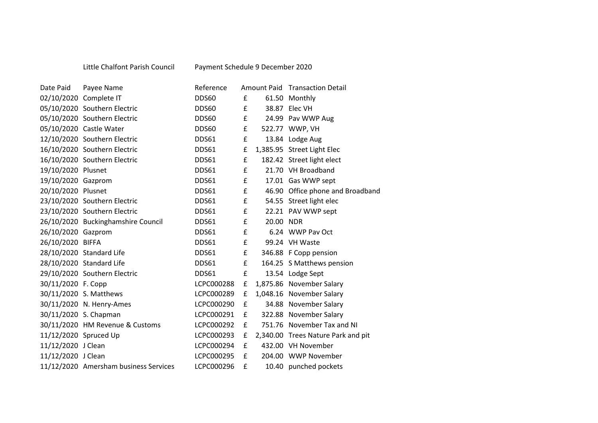## Little Chalfont Parish Council Payment Schedule 9 December 2020

| Date Paid             | Payee Name                            | Reference  |                    |           | Amount Paid Transaction Detail     |
|-----------------------|---------------------------------------|------------|--------------------|-----------|------------------------------------|
|                       | 02/10/2020 Complete IT                | DDS60      | £                  |           | 61.50 Monthly                      |
|                       | 05/10/2020 Southern Electric          | DDS60      | £                  |           | 38.87 Elec VH                      |
|                       | 05/10/2020 Southern Electric          | DDS60      | £                  |           | 24.99 Pav WWP Aug                  |
|                       | 05/10/2020 Castle Water               | DDS60      | $\pmb{\mathsf{f}}$ |           | 522.77 WWP, VH                     |
|                       | 12/10/2020 Southern Electric          | DDS61      | £                  |           | 13.84 Lodge Aug                    |
|                       | 16/10/2020 Southern Electric          | DDS61      | £                  |           | 1,385.95 Street Light Elec         |
|                       | 16/10/2020 Southern Electric          | DDS61      | £                  |           | 182.42 Street light elect          |
| 19/10/2020 Plusnet    |                                       | DDS61      | £                  |           | 21.70 VH Broadband                 |
| 19/10/2020 Gazprom    |                                       | DDS61      | £                  |           | 17.01 Gas WWP sept                 |
| 20/10/2020 Plusnet    |                                       | DDS61      | £                  |           | 46.90 Office phone and Broadband   |
|                       | 23/10/2020 Southern Electric          | DDS61      | f                  |           | 54.55 Street light elec            |
|                       | 23/10/2020 Southern Electric          | DDS61      | £                  |           | 22.21 PAV WWP sept                 |
|                       | 26/10/2020 Buckinghamshire Council    | DDS61      | £                  | 20.00 NDR |                                    |
| 26/10/2020 Gazprom    |                                       | DDS61      | £                  |           | 6.24 WWP Pav Oct                   |
| 26/10/2020 BIFFA      |                                       | DDS61      | £                  |           | 99.24 VH Waste                     |
|                       | 28/10/2020 Standard Life              | DDS61      | £                  |           | 346.88 F Copp pension              |
|                       | 28/10/2020 Standard Life              | DDS61      | £                  |           | 164.25 S Matthews pension          |
|                       | 29/10/2020 Southern Electric          | DDS61      | £                  |           | 13.54 Lodge Sept                   |
| 30/11/2020 F. Copp    |                                       | LCPC000288 | £                  |           | 1,875.86 November Salary           |
|                       | 30/11/2020 S. Matthews                | LCPC000289 | £                  |           | 1,048.16 November Salary           |
|                       | 30/11/2020 N. Henry-Ames              | LCPC000290 | £                  |           | 34.88 November Salary              |
| 30/11/2020 S. Chapman |                                       | LCPC000291 | £                  |           | 322.88 November Salary             |
|                       | 30/11/2020 HM Revenue & Customs       | LCPC000292 | £                  |           | 751.76 November Tax and NI         |
| 11/12/2020 Spruced Up |                                       | LCPC000293 | £                  |           | 2,340.00 Trees Nature Park and pit |
| 11/12/2020 J Clean    |                                       | LCPC000294 | £                  |           | 432.00 VH November                 |
| 11/12/2020 J Clean    |                                       | LCPC000295 | £                  |           | 204.00 WWP November                |
|                       | 11/12/2020 Amersham business Services | LCPC000296 | £                  |           | 10.40 punched pockets              |